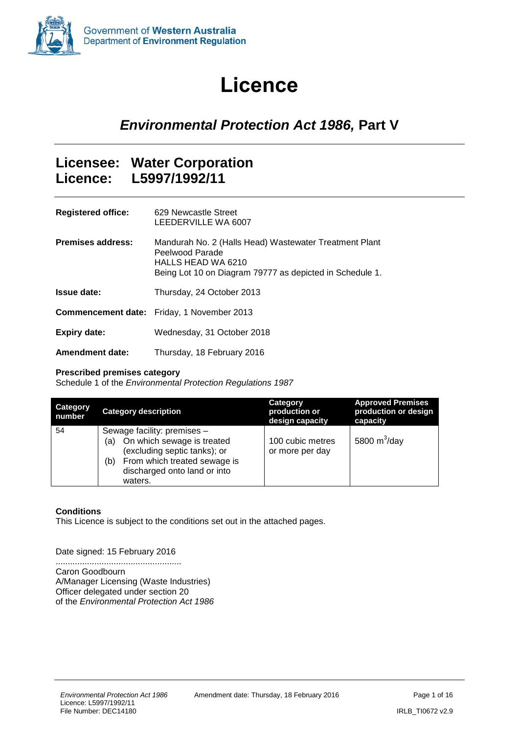<span id="page-0-0"></span>

# **Licence**

## *Environmental Protection Act 1986,* **Part V**

### **Licensee: Water Corporation Licence: L5997/1992/11**

| <b>Registered office:</b> | 629 Newcastle Street<br>LEEDERVILLE WA 6007                                                                                                                 |
|---------------------------|-------------------------------------------------------------------------------------------------------------------------------------------------------------|
| <b>Premises address:</b>  | Mandurah No. 2 (Halls Head) Wastewater Treatment Plant<br>Peelwood Parade<br>HALLS HEAD WA 6210<br>Being Lot 10 on Diagram 79777 as depicted in Schedule 1. |
| <b>Issue date:</b>        | Thursday, 24 October 2013                                                                                                                                   |
|                           | <b>Commencement date:</b> Friday, 1 November 2013                                                                                                           |
| <b>Expiry date:</b>       | Wednesday, 31 October 2018                                                                                                                                  |
| <b>Amendment date:</b>    | Thursday, 18 February 2016                                                                                                                                  |

#### **Prescribed premises category**

Schedule 1 of the *Environmental Protection Regulations 1987*

| <b>Category</b><br>number | <b>Category description</b>                                                                                                                                                        | Category<br>production or<br>design capacity | <b>Approved Premises</b><br>production or design<br>capacity |
|---------------------------|------------------------------------------------------------------------------------------------------------------------------------------------------------------------------------|----------------------------------------------|--------------------------------------------------------------|
| 54                        | Sewage facility: premises -<br>On which sewage is treated<br>(a)<br>(excluding septic tanks); or<br>From which treated sewage is<br>(b)<br>discharged onto land or into<br>waters. | 100 cubic metres<br>or more per day          | 5800 $m^3$ /day                                              |

#### **Conditions**

This Licence is subject to the conditions set out in the attached pages.

#### Date signed: 15 February 2016

.................................................... Caron Goodbourn A/Manager Licensing (Waste Industries) Officer delegated under section 20 of the *Environmental Protection Act 1986*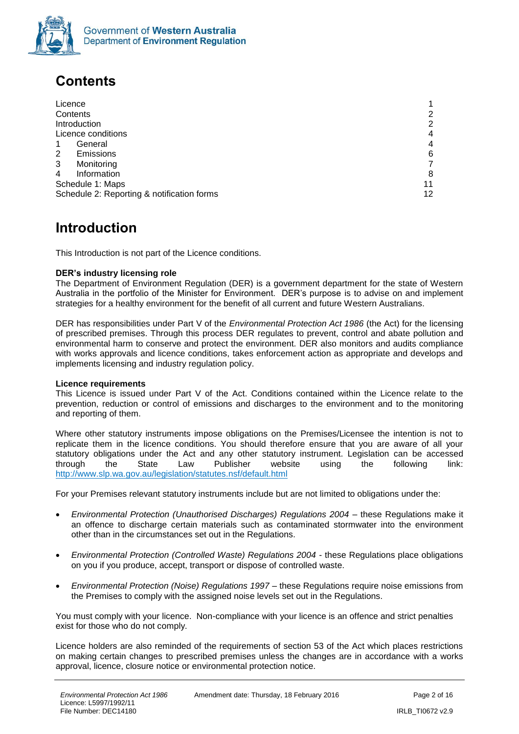

## <span id="page-1-0"></span>**Contents**

| Licence                                    |    |
|--------------------------------------------|----|
| Contents                                   |    |
| Introduction                               |    |
| Licence conditions                         |    |
| General<br>1                               |    |
| 2<br>Emissions                             | 6  |
| 3<br>Monitoring                            |    |
| Information<br>4                           | 8  |
| Schedule 1: Maps                           | 11 |
| Schedule 2: Reporting & notification forms | 12 |

### <span id="page-1-1"></span>**Introduction**

This Introduction is not part of the Licence conditions.

#### **DER's industry licensing role**

The Department of Environment Regulation (DER) is a government department for the state of Western Australia in the portfolio of the Minister for Environment. DER's purpose is to advise on and implement strategies for a healthy environment for the benefit of all current and future Western Australians.

DER has responsibilities under Part V of the *Environmental Protection Act 1986* (the Act) for the licensing of prescribed premises. Through this process DER regulates to prevent, control and abate pollution and environmental harm to conserve and protect the environment. DER also monitors and audits compliance with works approvals and licence conditions, takes enforcement action as appropriate and develops and implements licensing and industry regulation policy.

#### **Licence requirements**

This Licence is issued under Part V of the Act. Conditions contained within the Licence relate to the prevention, reduction or control of emissions and discharges to the environment and to the monitoring and reporting of them.

Where other statutory instruments impose obligations on the Premises/Licensee the intention is not to replicate them in the licence conditions. You should therefore ensure that you are aware of all your statutory obligations under the Act and any other statutory instrument. Legislation can be accessed<br>
through the State Law Publisher website using the following link: through the State Law Publisher website using the following link: <http://www.slp.wa.gov.au/legislation/statutes.nsf/default.html>

For your Premises relevant statutory instruments include but are not limited to obligations under the:

- *Environmental Protection (Unauthorised Discharges) Regulations 2004* these Regulations make it an offence to discharge certain materials such as contaminated stormwater into the environment other than in the circumstances set out in the Regulations.
- *Environmental Protection (Controlled Waste) Regulations 2004* these Regulations place obligations on you if you produce, accept, transport or dispose of controlled waste.
- *Environmental Protection (Noise) Regulations 1997 these Regulations require noise emissions from* the Premises to comply with the assigned noise levels set out in the Regulations.

You must comply with your licence. Non-compliance with your licence is an offence and strict penalties exist for those who do not comply.

Licence holders are also reminded of the requirements of section 53 of the Act which places restrictions on making certain changes to prescribed premises unless the changes are in accordance with a works approval, licence, closure notice or environmental protection notice.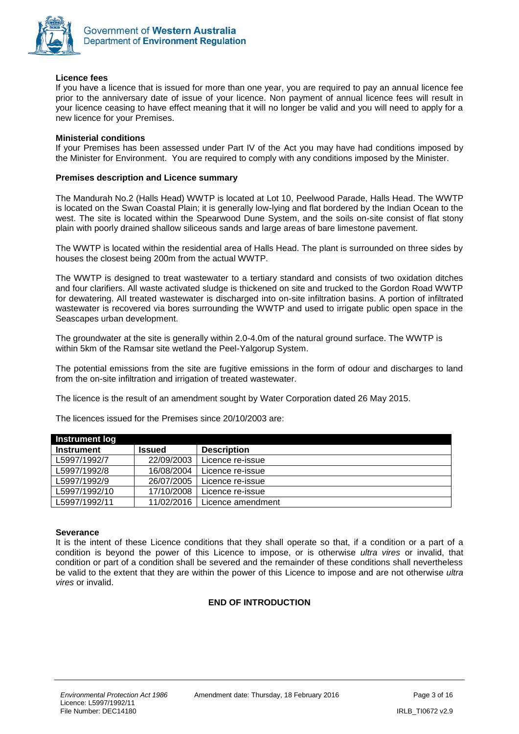

#### **Licence fees**

If you have a licence that is issued for more than one year, you are required to pay an annual licence fee prior to the anniversary date of issue of your licence. Non payment of annual licence fees will result in your licence ceasing to have effect meaning that it will no longer be valid and you will need to apply for a new licence for your Premises.

#### **Ministerial conditions**

If your Premises has been assessed under Part IV of the Act you may have had conditions imposed by the Minister for Environment. You are required to comply with any conditions imposed by the Minister.

#### **Premises description and Licence summary**

The Mandurah No.2 (Halls Head) WWTP is located at Lot 10, Peelwood Parade, Halls Head. The WWTP is located on the Swan Coastal Plain; it is generally low-lying and flat bordered by the Indian Ocean to the west. The site is located within the Spearwood Dune System, and the soils on-site consist of flat stony plain with poorly drained shallow siliceous sands and large areas of bare limestone pavement.

The WWTP is located within the residential area of Halls Head. The plant is surrounded on three sides by houses the closest being 200m from the actual WWTP.

The WWTP is designed to treat wastewater to a tertiary standard and consists of two oxidation ditches and four clarifiers. All waste activated sludge is thickened on site and trucked to the Gordon Road WWTP for dewatering. All treated wastewater is discharged into on-site infiltration basins. A portion of infiltrated wastewater is recovered via bores surrounding the WWTP and used to irrigate public open space in the Seascapes urban development.

The groundwater at the site is generally within 2.0-4.0m of the natural ground surface. The WWTP is within 5km of the Ramsar site wetland the Peel-Yalgorup System.

The potential emissions from the site are fugitive emissions in the form of odour and discharges to land from the on-site infiltration and irrigation of treated wastewater.

The licence is the result of an amendment sought by Water Corporation dated 26 May 2015.

The licences issued for the Premises since 20/10/2003 are:

| <b>Instrument log</b> |               |                    |
|-----------------------|---------------|--------------------|
| <b>Instrument</b>     | <b>Issued</b> | <b>Description</b> |
| L5997/1992/7          | 22/09/2003    | Licence re-issue   |
| L5997/1992/8          | 16/08/2004    | Licence re-issue   |
| L5997/1992/9          | 26/07/2005    | Licence re-issue   |
| L5997/1992/10         | 17/10/2008    | Licence re-issue   |
| L5997/1992/11         | 11/02/2016    | Licence amendment  |

#### **Severance**

It is the intent of these Licence conditions that they shall operate so that, if a condition or a part of a condition is beyond the power of this Licence to impose, or is otherwise *ultra vires* or invalid, that condition or part of a condition shall be severed and the remainder of these conditions shall nevertheless be valid to the extent that they are within the power of this Licence to impose and are not otherwise *ultra vires* or invalid.

#### **END OF INTRODUCTION**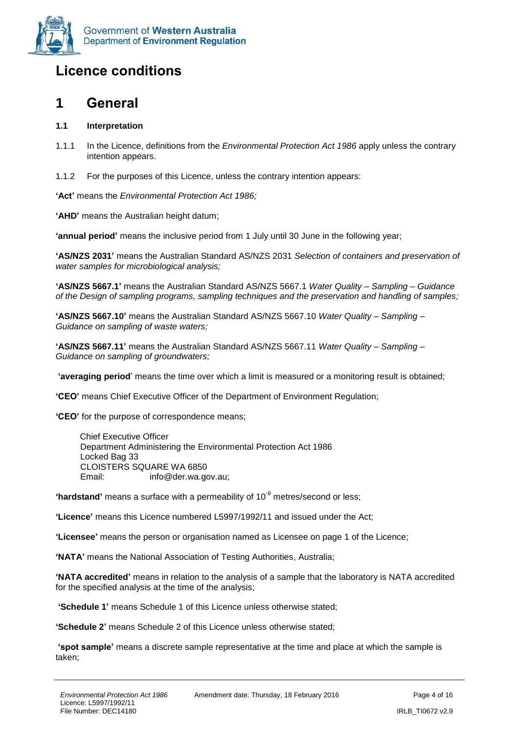

## <span id="page-3-0"></span>**Licence conditions**

### <span id="page-3-1"></span>**1 General**

#### **1.1 Interpretation**

- 1.1.1 In the Licence, definitions from the *Environmental Protection Act 1986* apply unless the contrary intention appears.
- 1.1.2 For the purposes of this Licence, unless the contrary intention appears:

**'Act'** means the *Environmental Protection Act 1986;*

**'AHD'** means the Australian height datum;

**'annual period'** means the inclusive period from 1 July until 30 June in the following year;

**'AS/NZS 2031'** means the Australian Standard AS/NZS 2031 *Selection of containers and preservation of water samples for microbiological analysis;*

**'AS/NZS 5667.1'** means the Australian Standard AS/NZS 5667.1 *Water Quality – Sampling – Guidance of the Design of sampling programs, sampling techniques and the preservation and handling of samples;*

**'AS/NZS 5667.10'** means the Australian Standard AS/NZS 5667.10 *Water Quality – Sampling – Guidance on sampling of waste waters;*

**'AS/NZS 5667.11'** means the Australian Standard AS/NZS 5667.11 *Water Quality – Sampling – Guidance on sampling of groundwaters;*

**'averaging period**' means the time over which a limit is measured or a monitoring result is obtained;

**'CEO'** means Chief Executive Officer of the Department of Environment Regulation;

**'CEO'** for the purpose of correspondence means;

Chief Executive Officer Department Administering the Environmental Protection Act 1986 Locked Bag 33 CLOISTERS SQUARE WA 6850 Email: info@der.wa.gov.au;

**'hardstand'** means a surface with a permeability of 10<sup>-9</sup> metres/second or less;

**'Licence'** means this Licence numbered L5997/1992/11 and issued under the Act;

**'Licensee'** means the person or organisation named as Licensee on page 1 of the Licence;

**'NATA'** means the National Association of Testing Authorities, Australia;

**'NATA accredited'** means in relation to the analysis of a sample that the laboratory is NATA accredited for the specified analysis at the time of the analysis;

**'Schedule 1'** means Schedule 1 of this Licence unless otherwise stated;

**'Schedule 2'** means Schedule 2 of this Licence unless otherwise stated;

**'spot sample'** means a discrete sample representative at the time and place at which the sample is taken;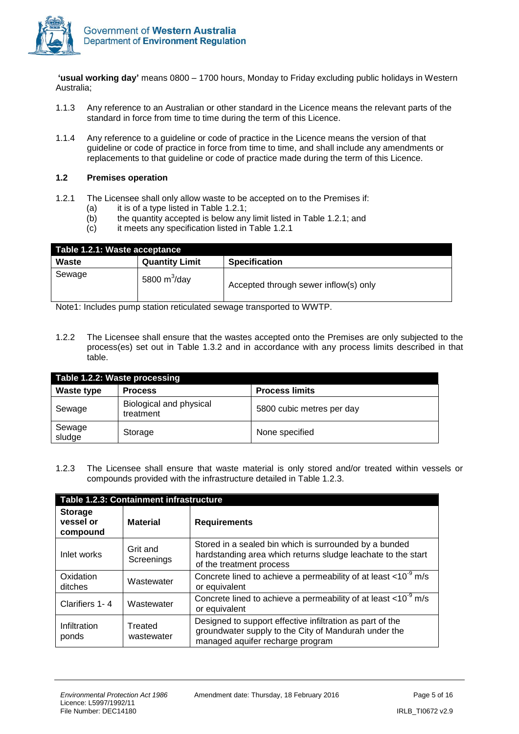

**'usual working day'** means 0800 – 1700 hours, Monday to Friday excluding public holidays in Western Australia;

- 1.1.3 Any reference to an Australian or other standard in the Licence means the relevant parts of the standard in force from time to time during the term of this Licence.
- 1.1.4 Any reference to a guideline or code of practice in the Licence means the version of that guideline or code of practice in force from time to time, and shall include any amendments or replacements to that guideline or code of practice made during the term of this Licence.

#### **1.2 Premises operation**

- 1.2.1 The Licensee shall only allow waste to be accepted on to the Premises if:
	- $(a)$  it is of a type listed in Table 1.2.1;
	- (b) the quantity accepted is below any limit listed in Table 1.2.1; and  $(c)$  it meets any specification listed in Table 1.2.1
	- it meets any specification listed in Table 1.2.1

| Table 1.2.1: Waste acceptance |                       |                                       |  |
|-------------------------------|-----------------------|---------------------------------------|--|
| Waste                         | <b>Quantity Limit</b> | <b>Specification</b>                  |  |
| Sewage                        | 5800 $m^3$ /day       | Accepted through sewer inflow(s) only |  |

Note1: Includes pump station reticulated sewage transported to WWTP.

1.2.2 The Licensee shall ensure that the wastes accepted onto the Premises are only subjected to the process(es) set out in Table 1.3.2 and in accordance with any process limits described in that table.

| Table 1.2.2: Waste processing |                                      |                           |  |
|-------------------------------|--------------------------------------|---------------------------|--|
| <b>Waste type</b>             | <b>Process</b>                       | <b>Process limits</b>     |  |
| Sewage                        | Biological and physical<br>treatment | 5800 cubic metres per day |  |
| Sewage<br>sludge              | Storage                              | None specified            |  |

1.2.3 The Licensee shall ensure that waste material is only stored and/or treated within vessels or compounds provided with the infrastructure detailed in Table 1.2.3.

| Table 1.2.3: Containment infrastructure |                        |                                                                                                                                                       |  |
|-----------------------------------------|------------------------|-------------------------------------------------------------------------------------------------------------------------------------------------------|--|
| <b>Storage</b><br>vessel or<br>compound | <b>Material</b>        | <b>Requirements</b>                                                                                                                                   |  |
| Inlet works                             | Grit and<br>Screenings | Stored in a sealed bin which is surrounded by a bunded<br>hardstanding area which returns sludge leachate to the start<br>of the treatment process    |  |
| Oxidation<br>ditches                    | Wastewater             | Concrete lined to achieve a permeability of at least $<$ 10 <sup>-9</sup> m/s<br>or equivalent                                                        |  |
| Clarifiers 1-4                          | Wastewater             | Concrete lined to achieve a permeability of at least $<$ 10 <sup>-9</sup> m/s<br>or equivalent                                                        |  |
| Infiltration<br>ponds                   | Treated<br>wastewater  | Designed to support effective infiltration as part of the<br>groundwater supply to the City of Mandurah under the<br>managed aquifer recharge program |  |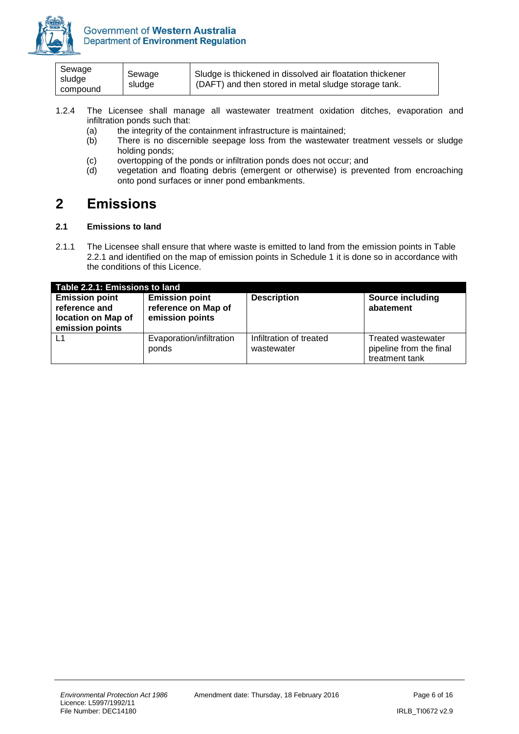

| Sewage<br>sludge<br>compound | Sewage<br>sludge | Sludge is thickened in dissolved air floatation thickener<br>(DAFT) and then stored in metal sludge storage tank. |  |
|------------------------------|------------------|-------------------------------------------------------------------------------------------------------------------|--|
|------------------------------|------------------|-------------------------------------------------------------------------------------------------------------------|--|

- 1.2.4 The Licensee shall manage all wastewater treatment oxidation ditches, evaporation and infiltration ponds such that:
	- (a) the integrity of the containment infrastructure is maintained;<br>(b) There is no discernible seepage loss from the wastewater
	- There is no discernible seepage loss from the wastewater treatment vessels or sludge holding ponds;
	- (c) overtopping of the ponds or infiltration ponds does not occur; and
	- (d) vegetation and floating debris (emergent or otherwise) is prevented from encroaching onto pond surfaces or inner pond embankments.

### <span id="page-5-0"></span>**2 Emissions**

#### **2.1 Emissions to land**

2.1.1 The Licensee shall ensure that where waste is emitted to land from the emission points in Table 2.2.1 and identified on the map of emission points in Schedule 1 it is done so in accordance with the conditions of this Licence.

| Table 2.2.1: Emissions to land                                                  |                                                                 |                                       |                                                                 |  |  |
|---------------------------------------------------------------------------------|-----------------------------------------------------------------|---------------------------------------|-----------------------------------------------------------------|--|--|
| <b>Emission point</b><br>reference and<br>location on Map of<br>emission points | <b>Emission point</b><br>reference on Map of<br>emission points | <b>Description</b>                    | <b>Source including</b><br>abatement                            |  |  |
| L1                                                                              | Evaporation/infiltration<br>ponds                               | Infiltration of treated<br>wastewater | Treated wastewater<br>pipeline from the final<br>treatment tank |  |  |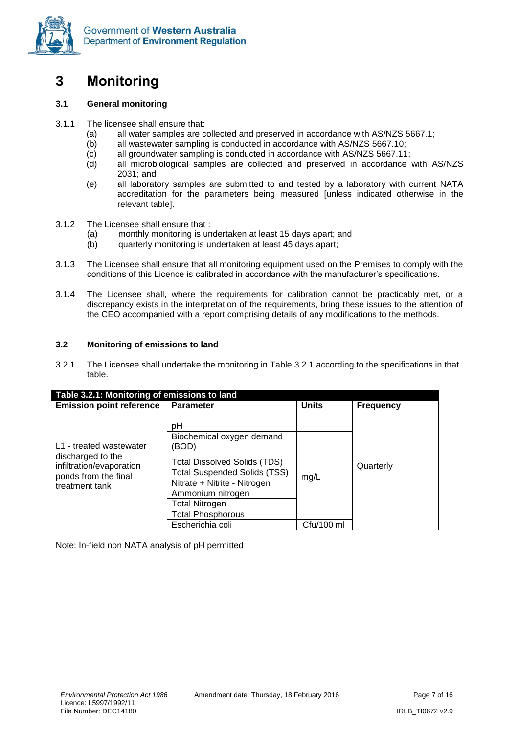

<span id="page-6-0"></span>

#### **3.1 General monitoring**

- 3.1.1 The licensee shall ensure that:
	- (a) all water samples are collected and preserved in accordance with AS/NZS 5667.1;
	- (b) all wastewater sampling is conducted in accordance with AS/NZS 5667.10;
	- (c) all groundwater sampling is conducted in accordance with AS/NZS 5667.11;
	- (d) all microbiological samples are collected and preserved in accordance with AS/NZS 2031; and
	- (e) all laboratory samples are submitted to and tested by a laboratory with current NATA accreditation for the parameters being measured [unless indicated otherwise in the relevant table].
- 3.1.2 The Licensee shall ensure that :
	- (a) monthly monitoring is undertaken at least 15 days apart; and
	- (b) quarterly monitoring is undertaken at least 45 days apart;
- 3.1.3 The Licensee shall ensure that all monitoring equipment used on the Premises to comply with the conditions of this Licence is calibrated in accordance with the manufacturer's specifications.
- 3.1.4 The Licensee shall, where the requirements for calibration cannot be practicably met, or a discrepancy exists in the interpretation of the requirements, bring these issues to the attention of the CEO accompanied with a report comprising details of any modifications to the methods.

#### **3.2 Monitoring of emissions to land**

3.2.1 The Licensee shall undertake the monitoring in Table 3.2.1 according to the specifications in that table.

| Table 3.2.1: Monitoring of emissions to land |                                     |                  |           |  |  |
|----------------------------------------------|-------------------------------------|------------------|-----------|--|--|
| <b>Emission point reference</b>              | <b>Units</b>                        | <b>Frequency</b> |           |  |  |
|                                              |                                     |                  |           |  |  |
|                                              | рH                                  |                  |           |  |  |
|                                              | Biochemical oxygen demand           |                  |           |  |  |
| L1 - treated wastewater                      | (BOD)                               |                  |           |  |  |
| discharged to the                            | <b>Total Dissolved Solids (TDS)</b> |                  |           |  |  |
| infiltration/evaporation                     | <b>Total Suspended Solids (TSS)</b> |                  | Quarterly |  |  |
| ponds from the final                         |                                     | mg/L             |           |  |  |
| treatment tank                               | Nitrate + Nitrite - Nitrogen        |                  |           |  |  |
|                                              | Ammonium nitrogen                   |                  |           |  |  |
|                                              | <b>Total Nitrogen</b>               |                  |           |  |  |
|                                              | <b>Total Phosphorous</b>            |                  |           |  |  |
|                                              | Escherichia coli                    | Cfu/100 ml       |           |  |  |

Note: In-field non NATA analysis of pH permitted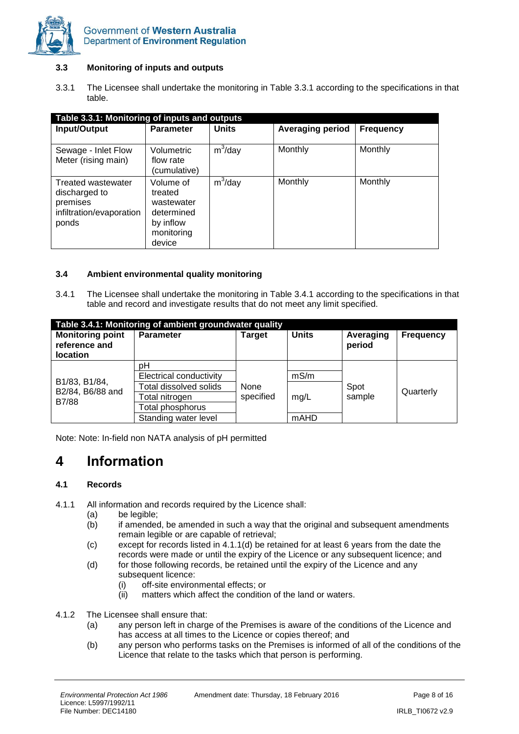

#### **3.3 Monitoring of inputs and outputs**

3.3.1 The Licensee shall undertake the monitoring in Table 3.3.1 according to the specifications in that table.

| Table 3.3.1: Monitoring of inputs and outputs                                               |                                                                                       |              |                         |                  |  |
|---------------------------------------------------------------------------------------------|---------------------------------------------------------------------------------------|--------------|-------------------------|------------------|--|
| Input/Output                                                                                | <b>Parameter</b>                                                                      | <b>Units</b> | <b>Averaging period</b> | <b>Frequency</b> |  |
| Sewage - Inlet Flow<br>Meter (rising main)                                                  | Volumetric<br>flow rate<br>(cumulative)                                               | $m^3$ /day   | Monthly                 | Monthly          |  |
| <b>Treated wastewater</b><br>discharged to<br>premises<br>infiltration/evaporation<br>ponds | Volume of<br>treated<br>wastewater<br>determined<br>by inflow<br>monitoring<br>device | $m^3$ /day   | Monthly                 | Monthly          |  |

#### **3.4 Ambient environmental quality monitoring**

3.4.1 The Licensee shall undertake the monitoring in Table 3.4.1 according to the specifications in that table and record and investigate results that do not meet any limit specified.

| Table 3.4.1: Monitoring of ambient groundwater quality |                         |           |                |                     |                  |  |
|--------------------------------------------------------|-------------------------|-----------|----------------|---------------------|------------------|--|
| <b>Monitoring point</b><br>reference and<br>location   | <b>Parameter</b>        | Target    | <b>Units</b>   | Averaging<br>period | <b>Frequency</b> |  |
|                                                        | рH                      |           |                |                     |                  |  |
| B1/83, B1/84,                                          | Electrical conductivity |           | mS/m           |                     | Quarterly        |  |
| B2/84, B6/88 and                                       | Total dissolved solids  | None      |                | Spot                |                  |  |
| B7/88                                                  | Total nitrogen          | specified | sample<br>mg/L |                     |                  |  |
|                                                        | Total phosphorus        |           |                |                     |                  |  |
|                                                        | Standing water level    |           | mAHD           |                     |                  |  |

Note: Note: In-field non NATA analysis of pH permitted

### <span id="page-7-0"></span>**4 Information**

#### **4.1 Records**

- 4.1.1 All information and records required by the Licence shall:
	- (a) be legible;
	- (b) if amended, be amended in such a way that the original and subsequent amendments remain legible or are capable of retrieval;
	- (c) except for records listed in 4.1.1(d) be retained for at least 6 years from the date the records were made or until the expiry of the Licence or any subsequent licence; and
	- (d) for those following records, be retained until the expiry of the Licence and any subsequent licence:
		- (i) off-site environmental effects; or
		- (ii) matters which affect the condition of the land or waters.
- 4.1.2 The Licensee shall ensure that:
	- (a) any person left in charge of the Premises is aware of the conditions of the Licence and has access at all times to the Licence or copies thereof; and
	- (b) any person who performs tasks on the Premises is informed of all of the conditions of the Licence that relate to the tasks which that person is performing.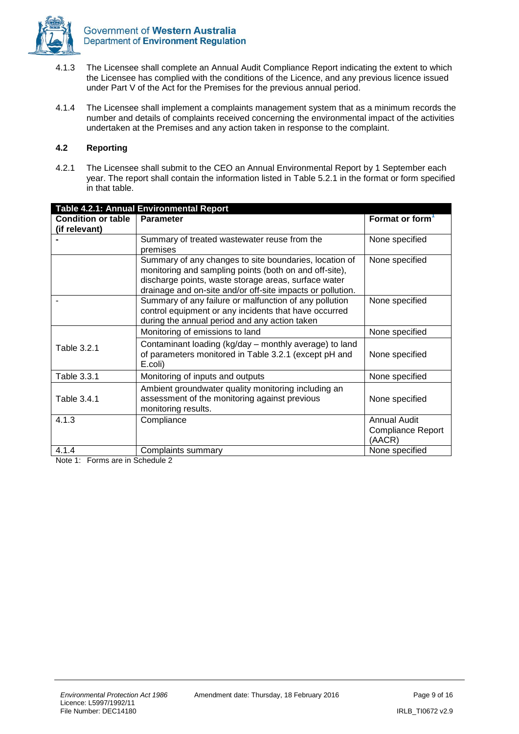

- 4.1.3 The Licensee shall complete an Annual Audit Compliance Report indicating the extent to which the Licensee has complied with the conditions of the Licence, and any previous licence issued under Part V of the Act for the Premises for the previous annual period.
- 4.1.4 The Licensee shall implement a complaints management system that as a minimum records the number and details of complaints received concerning the environmental impact of the activities undertaken at the Premises and any action taken in response to the complaint.

#### **4.2 Reporting**

4.2.1 The Licensee shall submit to the CEO an Annual Environmental Report by 1 September each year. The report shall contain the information listed in Table 5.2.1 in the format or form specified in that table.

| Table 4.2.1: Annual Environmental Report   |                                                                                                                                                                                                                                        |                                                           |
|--------------------------------------------|----------------------------------------------------------------------------------------------------------------------------------------------------------------------------------------------------------------------------------------|-----------------------------------------------------------|
| <b>Condition or table</b><br>(if relevant) | <b>Parameter</b>                                                                                                                                                                                                                       | Format or form <sup>1</sup>                               |
|                                            | Summary of treated wastewater reuse from the<br>premises                                                                                                                                                                               | None specified                                            |
|                                            | Summary of any changes to site boundaries, location of<br>monitoring and sampling points (both on and off-site),<br>discharge points, waste storage areas, surface water<br>drainage and on-site and/or off-site impacts or pollution. | None specified                                            |
|                                            | Summary of any failure or malfunction of any pollution<br>control equipment or any incidents that have occurred<br>during the annual period and any action taken                                                                       | None specified                                            |
|                                            | Monitoring of emissions to land                                                                                                                                                                                                        | None specified                                            |
| Table 3.2.1                                | Contaminant loading (kg/day - monthly average) to land<br>of parameters monitored in Table 3.2.1 (except pH and<br>E.coli)                                                                                                             | None specified                                            |
| Table 3.3.1                                | Monitoring of inputs and outputs                                                                                                                                                                                                       | None specified                                            |
| Table 3.4.1                                | Ambient groundwater quality monitoring including an<br>assessment of the monitoring against previous<br>monitoring results.                                                                                                            | None specified                                            |
| 4.1.3                                      | Compliance                                                                                                                                                                                                                             | <b>Annual Audit</b><br><b>Compliance Report</b><br>(AACR) |
| 4.1.4                                      | Complaints summary                                                                                                                                                                                                                     | None specified                                            |

Note 1: Forms are in Schedule 2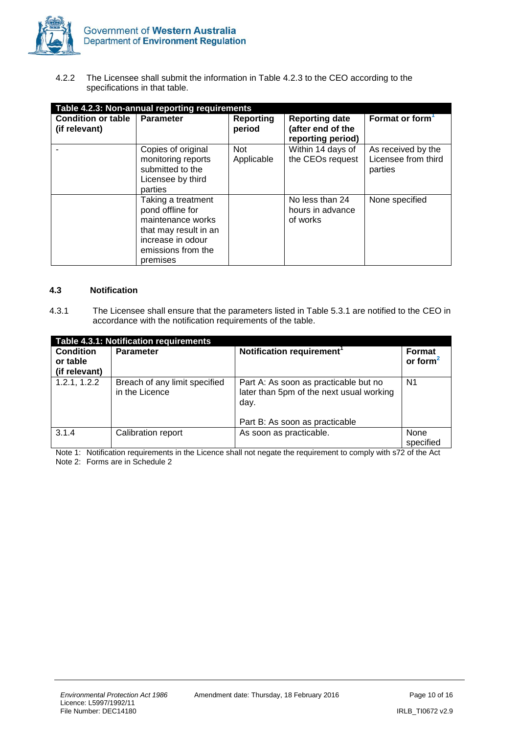

4.2.2 The Licensee shall submit the information in Table 4.2.3 to the CEO according to the specifications in that table.

| Table 4.2.3: Non-annual reporting requirements |                                                                                                                                             |                            |                                                                 |                                                      |
|------------------------------------------------|---------------------------------------------------------------------------------------------------------------------------------------------|----------------------------|-----------------------------------------------------------------|------------------------------------------------------|
| <b>Condition or table</b><br>(if relevant)     | <b>Parameter</b>                                                                                                                            | <b>Reporting</b><br>period | <b>Reporting date</b><br>(after end of the<br>reporting period) | Format or form <sup>1</sup>                          |
|                                                | Copies of original<br>monitoring reports<br>submitted to the<br>Licensee by third<br>parties                                                | <b>Not</b><br>Applicable   | Within 14 days of<br>the CEOs request                           | As received by the<br>Licensee from third<br>parties |
|                                                | Taking a treatment<br>pond offline for<br>maintenance works<br>that may result in an<br>increase in odour<br>emissions from the<br>premises |                            | No less than 24<br>hours in advance<br>of works                 | None specified                                       |

#### **4.3 Notification**

4.3.1 The Licensee shall ensure that the parameters listed in Table 5.3.1 are notified to the CEO in accordance with the notification requirements of the table.

| Table 4.3.1: Notification requirements        |                                                 |                                                                                                                             |                              |
|-----------------------------------------------|-------------------------------------------------|-----------------------------------------------------------------------------------------------------------------------------|------------------------------|
| <b>Condition</b><br>or table<br>(if relevant) | <b>Parameter</b>                                | Notification requirement <sup>1</sup>                                                                                       | <b>Format</b><br>or form $2$ |
| 1.2.1, 1.2.2                                  | Breach of any limit specified<br>in the Licence | Part A: As soon as practicable but no<br>later than 5pm of the next usual working<br>day.<br>Part B: As soon as practicable | N <sub>1</sub>               |
| 3.1.4                                         | Calibration report                              | As soon as practicable.                                                                                                     | None<br>specified            |

Note 1: Notification requirements in the Licence shall not negate the requirement to comply with s72 of the Act Note 2: Forms are in Schedule 2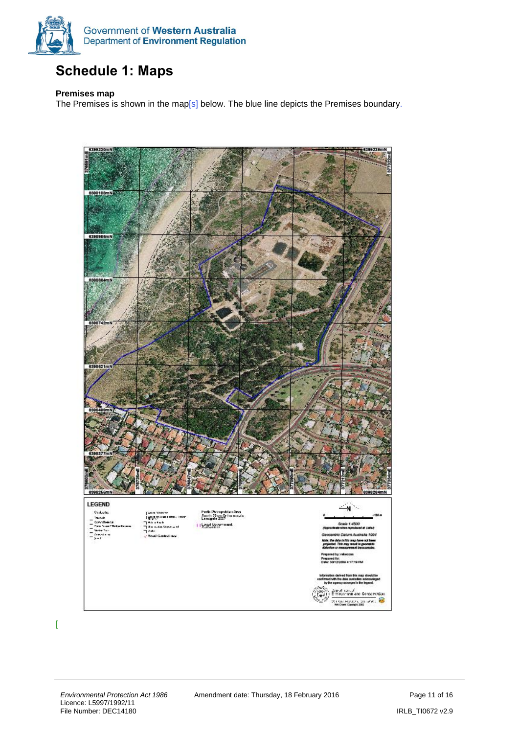

## <span id="page-10-0"></span>**Schedule 1: Maps**

#### **Premises map**

The Premises is shown in the map[s] below. The blue line depicts the Premises boundary.



 $\Gamma$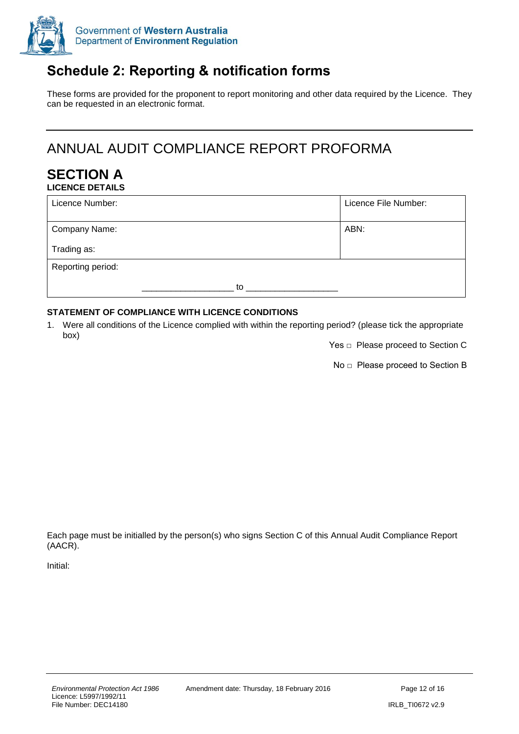

## <span id="page-11-0"></span>**Schedule 2: Reporting & notification forms**

These forms are provided for the proponent to report monitoring and other data required by the Licence. They can be requested in an electronic format.

## ANNUAL AUDIT COMPLIANCE REPORT PROFORMA

#### **SECTION A LICENCE DETAILS**

| Licence Number:   |    | Licence File Number: |
|-------------------|----|----------------------|
| Company Name:     |    | ABN:                 |
| Trading as:       |    |                      |
| Reporting period: |    |                      |
|                   | to |                      |

#### **STATEMENT OF COMPLIANCE WITH LICENCE CONDITIONS**

1. Were all conditions of the Licence complied with within the reporting period? (please tick the appropriate box)

Yes □ Please proceed to Section C

No □ Please proceed to Section B

Each page must be initialled by the person(s) who signs Section C of this Annual Audit Compliance Report (AACR).

Initial: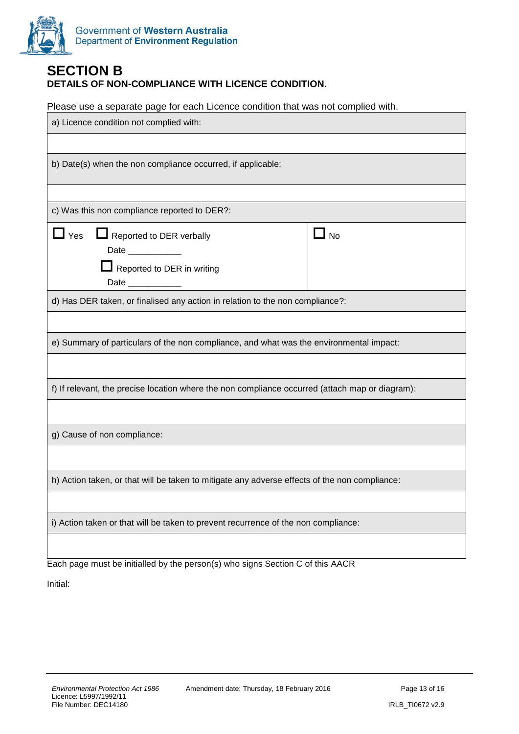

#### **SECTION B DETAILS OF NON-COMPLIANCE WITH LICENCE CONDITION.**

Please use a separate page for each Licence condition that was not complied with.

| a) Licence condition not complied with:                                                                                                                                                                                       |           |  |
|-------------------------------------------------------------------------------------------------------------------------------------------------------------------------------------------------------------------------------|-----------|--|
|                                                                                                                                                                                                                               |           |  |
| b) Date(s) when the non compliance occurred, if applicable:                                                                                                                                                                   |           |  |
|                                                                                                                                                                                                                               |           |  |
| c) Was this non compliance reported to DER?:                                                                                                                                                                                  |           |  |
| $\mathsf{\underline{J}}$ Yes<br>Reported to DER verbally<br>Date ___________<br>Reported to DER in writing<br>Date and the state of the state of the state of the state of the state of the state of the state of the state o | $\Box$ No |  |
| d) Has DER taken, or finalised any action in relation to the non compliance?:                                                                                                                                                 |           |  |
|                                                                                                                                                                                                                               |           |  |
| e) Summary of particulars of the non compliance, and what was the environmental impact:                                                                                                                                       |           |  |
|                                                                                                                                                                                                                               |           |  |
| f) If relevant, the precise location where the non compliance occurred (attach map or diagram):                                                                                                                               |           |  |
|                                                                                                                                                                                                                               |           |  |
| g) Cause of non compliance:                                                                                                                                                                                                   |           |  |
|                                                                                                                                                                                                                               |           |  |
| h) Action taken, or that will be taken to mitigate any adverse effects of the non compliance:                                                                                                                                 |           |  |
|                                                                                                                                                                                                                               |           |  |
| i) Action taken or that will be taken to prevent recurrence of the non compliance:                                                                                                                                            |           |  |
|                                                                                                                                                                                                                               |           |  |
| Each page must be initialled by the person(s) who signs Section C of this AACR                                                                                                                                                |           |  |

Initial: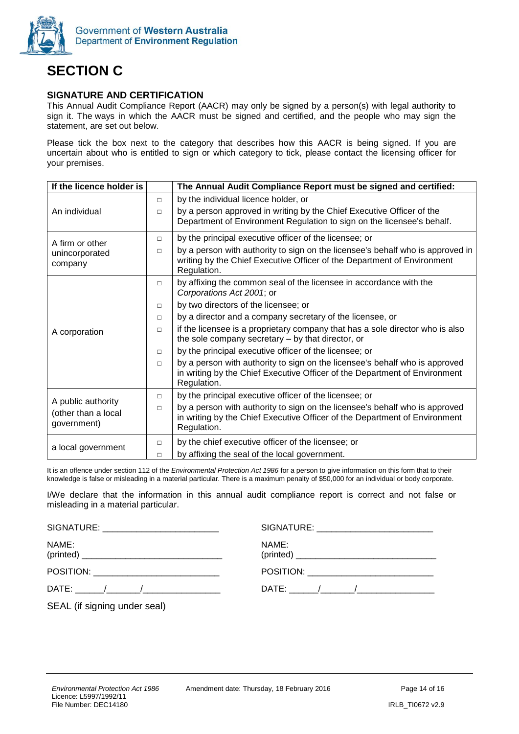

## **SECTION C**

#### **SIGNATURE AND CERTIFICATION**

This Annual Audit Compliance Report (AACR) may only be signed by a person(s) with legal authority to sign it. The ways in which the AACR must be signed and certified, and the people who may sign the statement, are set out below.

Please tick the box next to the category that describes how this AACR is being signed. If you are uncertain about who is entitled to sign or which category to tick, please contact the licensing officer for your premises.

| If the licence holder is                                 |        | The Annual Audit Compliance Report must be signed and certified:                                                                                                         |
|----------------------------------------------------------|--------|--------------------------------------------------------------------------------------------------------------------------------------------------------------------------|
|                                                          | $\Box$ | by the individual licence holder, or                                                                                                                                     |
| An individual                                            | $\Box$ | by a person approved in writing by the Chief Executive Officer of the<br>Department of Environment Regulation to sign on the licensee's behalf.                          |
| A firm or other                                          | $\Box$ | by the principal executive officer of the licensee; or                                                                                                                   |
| unincorporated<br>company                                | $\Box$ | by a person with authority to sign on the licensee's behalf who is approved in<br>writing by the Chief Executive Officer of the Department of Environment<br>Regulation. |
|                                                          | $\Box$ | by affixing the common seal of the licensee in accordance with the<br>Corporations Act 2001; or                                                                          |
|                                                          | $\Box$ | by two directors of the licensee; or                                                                                                                                     |
|                                                          | $\Box$ | by a director and a company secretary of the licensee, or                                                                                                                |
| A corporation                                            | $\Box$ | if the licensee is a proprietary company that has a sole director who is also<br>the sole company secretary – by that director, or                                       |
|                                                          | $\Box$ | by the principal executive officer of the licensee; or                                                                                                                   |
|                                                          | $\Box$ | by a person with authority to sign on the licensee's behalf who is approved<br>in writing by the Chief Executive Officer of the Department of Environment<br>Regulation. |
|                                                          | $\Box$ | by the principal executive officer of the licensee; or                                                                                                                   |
| A public authority<br>(other than a local<br>government) | $\Box$ | by a person with authority to sign on the licensee's behalf who is approved<br>in writing by the Chief Executive Officer of the Department of Environment<br>Regulation. |
| a local government                                       | $\Box$ | by the chief executive officer of the licensee; or                                                                                                                       |
|                                                          | $\Box$ | by affixing the seal of the local government.                                                                                                                            |

It is an offence under section 112 of the *Environmental Protection Act 1986* for a person to give information on this form that to their knowledge is false or misleading in a material particular. There is a maximum penalty of \$50,000 for an individual or body corporate.

I/We declare that the information in this annual audit compliance report is correct and not false or misleading in a material particular.

| SIGNATURE: ___________________________     |       |
|--------------------------------------------|-------|
| NAME:                                      | NAME: |
| POSITION: ________________________________ |       |
|                                            |       |
| SEAL (if signing under seal)               |       |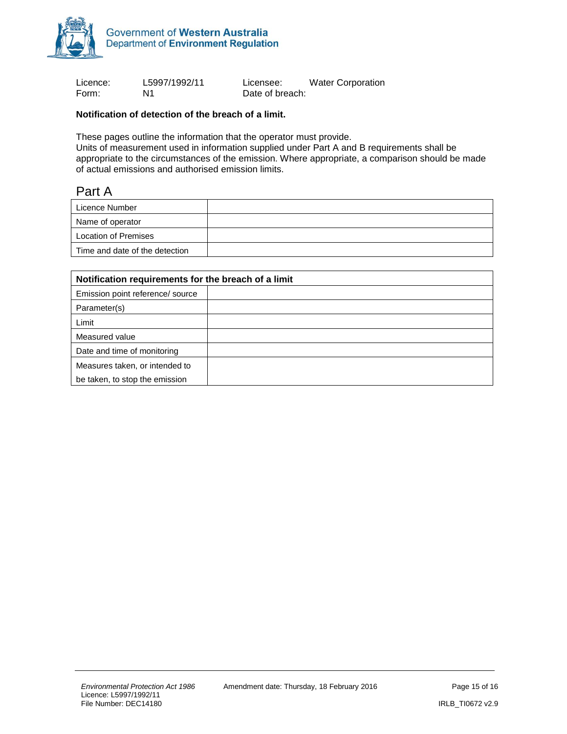

Licence: L5997/1992/11 Licensee: Water Corporation Form: N1 N1 Date of breach:

#### **Notification of detection of the breach of a limit.**

These pages outline the information that the operator must provide.

Units of measurement used in information supplied under Part A and B requirements shall be appropriate to the circumstances of the emission. Where appropriate, a comparison should be made of actual emissions and authorised emission limits.

### Part A

| Licence Number                 |  |
|--------------------------------|--|
| Name of operator               |  |
| Location of Premises           |  |
| Time and date of the detection |  |

| Notification requirements for the breach of a limit |  |  |
|-----------------------------------------------------|--|--|
| Emission point reference/ source                    |  |  |
| Parameter(s)                                        |  |  |
| Limit                                               |  |  |
| Measured value                                      |  |  |
| Date and time of monitoring                         |  |  |
| Measures taken, or intended to                      |  |  |
| be taken, to stop the emission                      |  |  |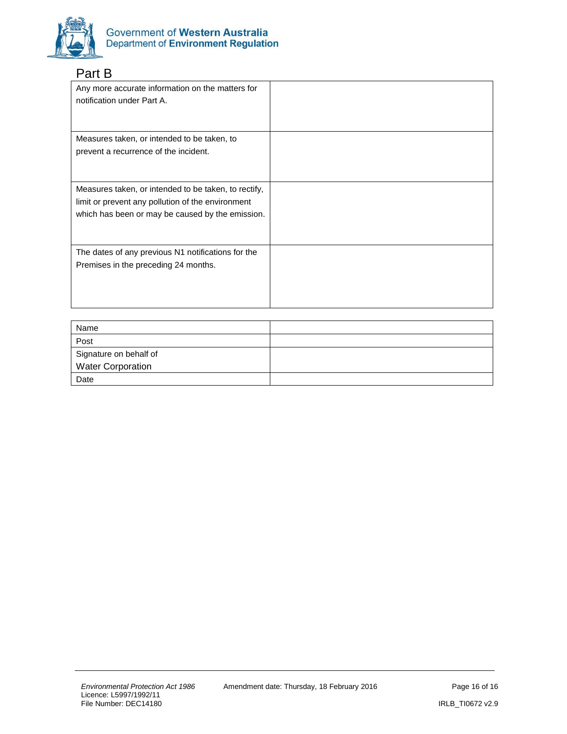

### Part B

| Any more accurate information on the matters for<br>notification under Part A. |  |
|--------------------------------------------------------------------------------|--|
| Measures taken, or intended to be taken, to                                    |  |
| prevent a recurrence of the incident.                                          |  |
|                                                                                |  |
| Measures taken, or intended to be taken, to rectify,                           |  |
| limit or prevent any pollution of the environment                              |  |
| which has been or may be caused by the emission.                               |  |
|                                                                                |  |
| The dates of any previous N1 notifications for the                             |  |
| Premises in the preceding 24 months.                                           |  |
|                                                                                |  |
|                                                                                |  |
|                                                                                |  |

| Name                   |  |
|------------------------|--|
| Post                   |  |
| Signature on behalf of |  |
| Water Corporation      |  |
| Date                   |  |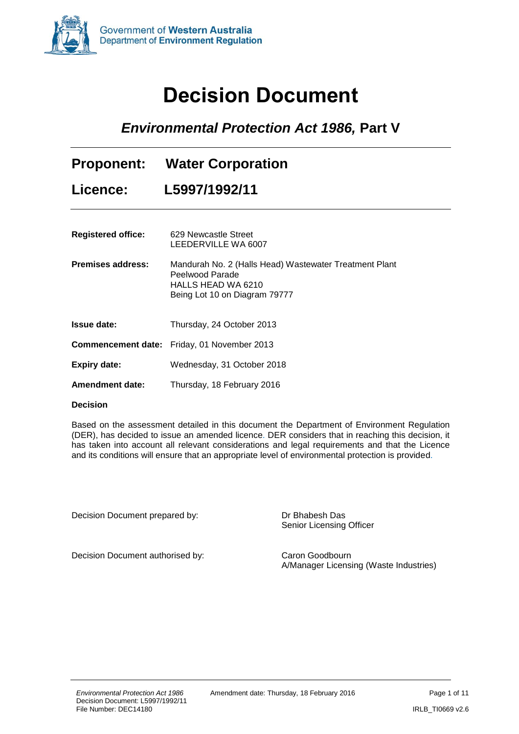<span id="page-16-0"></span>

# **Decision Document**

*Environmental Protection Act 1986,* **Part V**

| <b>Proponent:</b><br><b>Licence:</b> | <b>Water Corporation</b><br>L5997/1992/11                                                                                        |
|--------------------------------------|----------------------------------------------------------------------------------------------------------------------------------|
|                                      |                                                                                                                                  |
| <b>Registered office:</b>            | 629 Newcastle Street<br>LEEDERVILLE WA 6007                                                                                      |
| Premises address:                    | Mandurah No. 2 (Halls Head) Wastewater Treatment Plant<br>Peelwood Parade<br>HALLS HEAD WA 6210<br>Being Lot 10 on Diagram 79777 |
| <b>Issue date:</b>                   | Thursday, 24 October 2013                                                                                                        |
|                                      | <b>Commencement date:</b> Friday, 01 November 2013                                                                               |

**Expiry date:** Wednesday, 31 October 2018

**Amendment date:** Thursday, 18 February 2016

#### **Decision**

Based on the assessment detailed in this document the Department of Environment Regulation (DER), has decided to issue an amended licence. DER considers that in reaching this decision, it has taken into account all relevant considerations and legal requirements and that the Licence and its conditions will ensure that an appropriate level of environmental protection is provided.

Decision Document prepared by: Dr Bhabesh Das

Senior Licensing Officer

Decision Document authorised by: Caron Goodbourn

A/Manager Licensing (Waste Industries)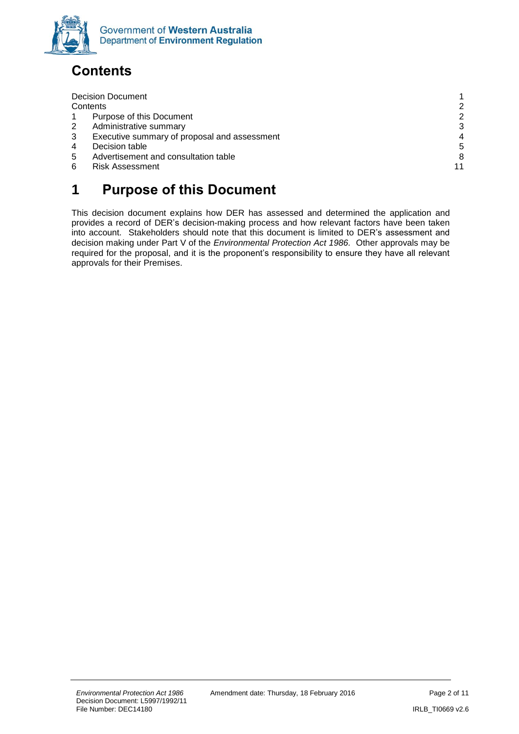

## <span id="page-17-0"></span>**Contents**

|          | <b>Decision Document</b>                     |    |
|----------|----------------------------------------------|----|
| Contents |                                              | 2  |
|          | Purpose of this Document                     | 2  |
| 2        | Administrative summary                       | 3  |
| 3        | Executive summary of proposal and assessment | 4  |
| 4        | Decision table                               | 5  |
| 5        | Advertisement and consultation table         | 8  |
| 6        | <b>Risk Assessment</b>                       | 11 |
|          |                                              |    |

## <span id="page-17-1"></span>**1 Purpose of this Document**

This decision document explains how DER has assessed and determined the application and provides a record of DER's decision-making process and how relevant factors have been taken into account. Stakeholders should note that this document is limited to DER's assessment and decision making under Part V of the *Environmental Protection Act 1986.* Other approvals may be required for the proposal, and it is the proponent's responsibility to ensure they have all relevant approvals for their Premises.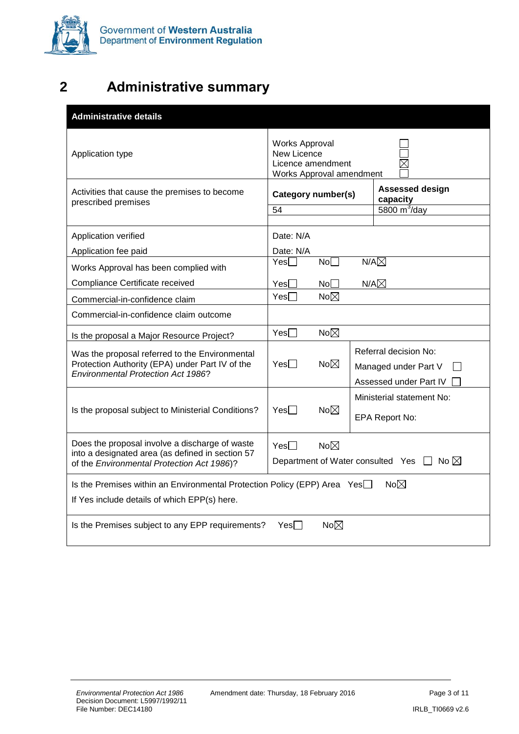

## <span id="page-18-0"></span>**2 Administrative summary**

| <b>Administrative details</b>                                                                                                                             |                                                                                       |                 |  |                                                |
|-----------------------------------------------------------------------------------------------------------------------------------------------------------|---------------------------------------------------------------------------------------|-----------------|--|------------------------------------------------|
| Application type                                                                                                                                          | <b>Works Approval</b><br>New Licence<br>Licence amendment<br>Works Approval amendment |                 |  |                                                |
| Activities that cause the premises to become<br>prescribed premises                                                                                       | Category number(s)                                                                    |                 |  | <b>Assessed design</b><br>capacity             |
|                                                                                                                                                           | 54                                                                                    |                 |  | 5800 $m^3$ /day                                |
| Application verified                                                                                                                                      | Date: N/A                                                                             |                 |  |                                                |
| Application fee paid                                                                                                                                      | Date: N/A<br>$Yes \Box$                                                               | No <sub>1</sub> |  | $N/A\nabla$                                    |
| Works Approval has been complied with                                                                                                                     |                                                                                       |                 |  |                                                |
| Compliance Certificate received                                                                                                                           | Yes[                                                                                  | No              |  | $N/A\boxtimes$                                 |
| Commercial-in-confidence claim                                                                                                                            | $Yes \Box$                                                                            | $No\neg\neg$    |  |                                                |
| Commercial-in-confidence claim outcome                                                                                                                    |                                                                                       |                 |  |                                                |
| Is the proposal a Major Resource Project?                                                                                                                 | $Yes \Box$                                                                            | $No\boxtimes$   |  |                                                |
| Was the proposal referred to the Environmental<br>Protection Authority (EPA) under Part IV of the                                                         | $Yes \Box$                                                                            | $No\neg\neg$    |  | Referral decision No:                          |
| <b>Environmental Protection Act 1986?</b>                                                                                                                 |                                                                                       |                 |  | Managed under Part V<br>Assessed under Part IV |
|                                                                                                                                                           |                                                                                       |                 |  | Ministerial statement No:                      |
| Is the proposal subject to Ministerial Conditions?                                                                                                        | $Yes \Box$                                                                            | $No\boxtimes$   |  |                                                |
|                                                                                                                                                           |                                                                                       |                 |  | EPA Report No:                                 |
| Does the proposal involve a discharge of waste                                                                                                            | $Yes \Box$                                                                            | $No\neg\neg$    |  |                                                |
| into a designated area (as defined in section 57<br>Department of Water consulted Yes $\Box$ No $\boxtimes$<br>of the Environmental Protection Act 1986)? |                                                                                       |                 |  |                                                |
| $No\boxtimes$<br>Is the Premises within an Environmental Protection Policy (EPP) Area Yes□                                                                |                                                                                       |                 |  |                                                |
| If Yes include details of which EPP(s) here.                                                                                                              |                                                                                       |                 |  |                                                |
| Is the Premises subject to any EPP requirements?                                                                                                          | $Yes \Box$                                                                            | $No\boxtimes$   |  |                                                |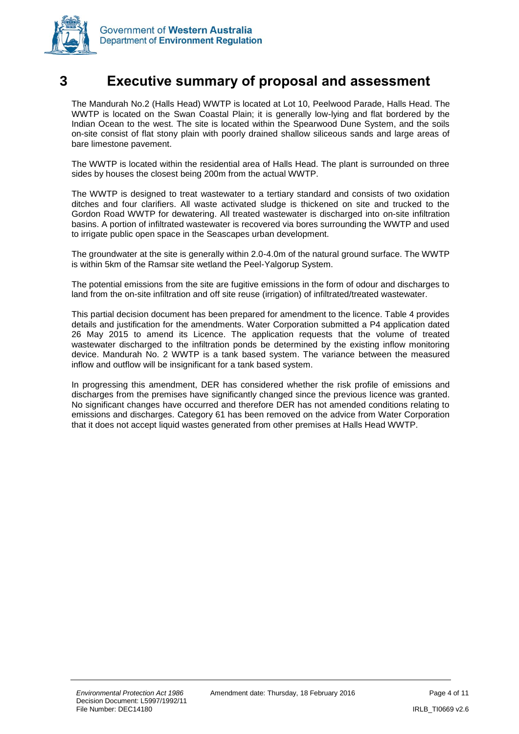

### <span id="page-19-0"></span>**3 Executive summary of proposal and assessment**

The Mandurah No.2 (Halls Head) WWTP is located at Lot 10, Peelwood Parade, Halls Head. The WWTP is located on the Swan Coastal Plain; it is generally low-lying and flat bordered by the Indian Ocean to the west. The site is located within the Spearwood Dune System, and the soils on-site consist of flat stony plain with poorly drained shallow siliceous sands and large areas of bare limestone pavement.

The WWTP is located within the residential area of Halls Head. The plant is surrounded on three sides by houses the closest being 200m from the actual WWTP.

The WWTP is designed to treat wastewater to a tertiary standard and consists of two oxidation ditches and four clarifiers. All waste activated sludge is thickened on site and trucked to the Gordon Road WWTP for dewatering. All treated wastewater is discharged into on-site infiltration basins. A portion of infiltrated wastewater is recovered via bores surrounding the WWTP and used to irrigate public open space in the Seascapes urban development.

The groundwater at the site is generally within 2.0-4.0m of the natural ground surface. The WWTP is within 5km of the Ramsar site wetland the Peel-Yalgorup System.

The potential emissions from the site are fugitive emissions in the form of odour and discharges to land from the on-site infiltration and off site reuse (irrigation) of infiltrated/treated wastewater.

This partial decision document has been prepared for amendment to the licence. Table 4 provides details and justification for the amendments. Water Corporation submitted a P4 application dated 26 May 2015 to amend its Licence. The application requests that the volume of treated wastewater discharged to the infiltration ponds be determined by the existing inflow monitoring device. Mandurah No. 2 WWTP is a tank based system. The variance between the measured inflow and outflow will be insignificant for a tank based system.

In progressing this amendment, DER has considered whether the risk profile of emissions and discharges from the premises have significantly changed since the previous licence was granted. No significant changes have occurred and therefore DER has not amended conditions relating to emissions and discharges. Category 61 has been removed on the advice from Water Corporation that it does not accept liquid wastes generated from other premises at Halls Head WWTP.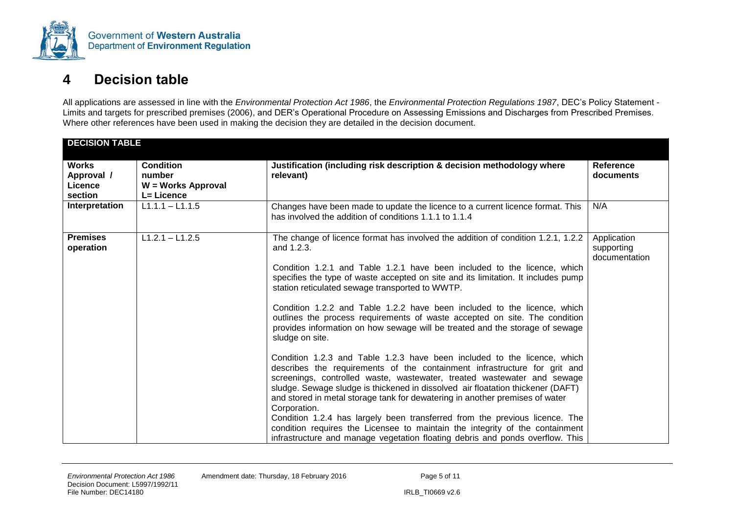

## **4 Decision table**

All applications are assessed in line with the *Environmental Protection Act 1986*, the *Environmental Protection Regulations 1987*, DEC's Policy Statement - Limits and targets for prescribed premises (2006), and DER's Operational Procedure on Assessing Emissions and Discharges from Prescribed Premises. Where other references have been used in making the decision they are detailed in the decision document.

<span id="page-20-0"></span>

| <b>DECISION TABLE</b>                                                                                                                  |                                                                                                                                                                                                                                                                                                                                                                                                                                                                                                                                                                                                                                                                                                                                                                                                                                                                                                                                                                                                                                                                                                                                                                                                       |                                            |
|----------------------------------------------------------------------------------------------------------------------------------------|-------------------------------------------------------------------------------------------------------------------------------------------------------------------------------------------------------------------------------------------------------------------------------------------------------------------------------------------------------------------------------------------------------------------------------------------------------------------------------------------------------------------------------------------------------------------------------------------------------------------------------------------------------------------------------------------------------------------------------------------------------------------------------------------------------------------------------------------------------------------------------------------------------------------------------------------------------------------------------------------------------------------------------------------------------------------------------------------------------------------------------------------------------------------------------------------------------|--------------------------------------------|
| <b>Works</b><br><b>Condition</b><br>Approval /<br>number<br>relevant)<br>W = Works Approval<br><b>Licence</b><br>L= Licence<br>section | Justification (including risk description & decision methodology where                                                                                                                                                                                                                                                                                                                                                                                                                                                                                                                                                                                                                                                                                                                                                                                                                                                                                                                                                                                                                                                                                                                                | Reference<br>documents                     |
| $L1.1.1 - L1.1.5$<br>Interpretation                                                                                                    | Changes have been made to update the licence to a current licence format. This<br>has involved the addition of conditions 1.1.1 to 1.1.4                                                                                                                                                                                                                                                                                                                                                                                                                                                                                                                                                                                                                                                                                                                                                                                                                                                                                                                                                                                                                                                              | N/A                                        |
| $L1.2.1 - L1.2.5$<br><b>Premises</b><br>operation<br>and 1.2.3.<br>sludge on site.<br>Corporation.                                     | The change of licence format has involved the addition of condition 1.2.1, 1.2.2<br>Condition 1.2.1 and Table 1.2.1 have been included to the licence, which<br>specifies the type of waste accepted on site and its limitation. It includes pump<br>station reticulated sewage transported to WWTP.<br>Condition 1.2.2 and Table 1.2.2 have been included to the licence, which<br>outlines the process requirements of waste accepted on site. The condition<br>provides information on how sewage will be treated and the storage of sewage<br>Condition 1.2.3 and Table 1.2.3 have been included to the licence, which<br>describes the requirements of the containment infrastructure for grit and<br>screenings, controlled waste, wastewater, treated wastewater and sewage<br>sludge. Sewage sludge is thickened in dissolved air floatation thickener (DAFT)<br>and stored in metal storage tank for dewatering in another premises of water<br>Condition 1.2.4 has largely been transferred from the previous licence. The<br>condition requires the Licensee to maintain the integrity of the containment<br>infrastructure and manage vegetation floating debris and ponds overflow. This | Application<br>supporting<br>documentation |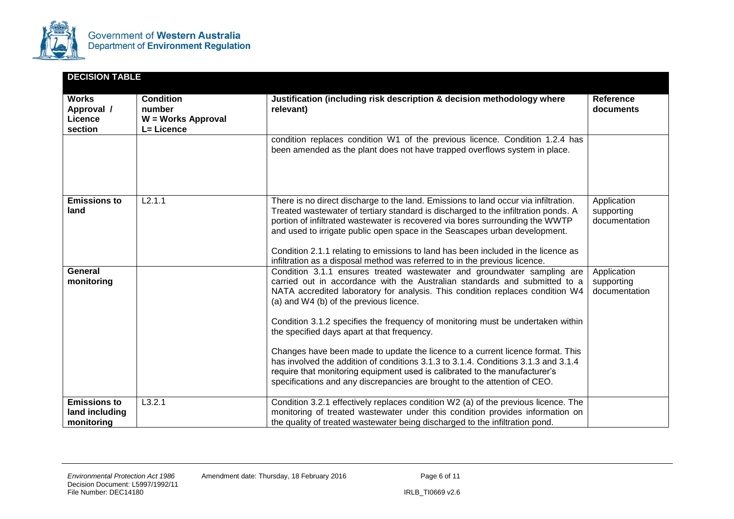

| <b>DECISION TABLE</b>                                   |                                                                |                                                                                                                                                                                                                                                                                                                                                                                                                                                                                                                                                                                                                                                                                                                                                        |                                            |
|---------------------------------------------------------|----------------------------------------------------------------|--------------------------------------------------------------------------------------------------------------------------------------------------------------------------------------------------------------------------------------------------------------------------------------------------------------------------------------------------------------------------------------------------------------------------------------------------------------------------------------------------------------------------------------------------------------------------------------------------------------------------------------------------------------------------------------------------------------------------------------------------------|--------------------------------------------|
| <b>Works</b><br>Approval /<br><b>Licence</b><br>section | <b>Condition</b><br>number<br>W = Works Approval<br>L= Licence | Justification (including risk description & decision methodology where<br>relevant)<br>condition replaces condition W1 of the previous licence. Condition 1.2.4 has<br>been amended as the plant does not have trapped overflows system in place.                                                                                                                                                                                                                                                                                                                                                                                                                                                                                                      | <b>Reference</b><br>documents              |
| <b>Emissions to</b><br>land                             | L2.1.1                                                         | There is no direct discharge to the land. Emissions to land occur via infiltration.<br>Treated wastewater of tertiary standard is discharged to the infiltration ponds. A<br>portion of infiltrated wastewater is recovered via bores surrounding the WWTP<br>and used to irrigate public open space in the Seascapes urban development.<br>Condition 2.1.1 relating to emissions to land has been included in the licence as<br>infiltration as a disposal method was referred to in the previous licence.                                                                                                                                                                                                                                            | Application<br>supporting<br>documentation |
| <b>General</b><br>monitoring                            |                                                                | Condition 3.1.1 ensures treated wastewater and groundwater sampling are<br>carried out in accordance with the Australian standards and submitted to a<br>NATA accredited laboratory for analysis. This condition replaces condition W4<br>(a) and W4 (b) of the previous licence.<br>Condition 3.1.2 specifies the frequency of monitoring must be undertaken within<br>the specified days apart at that frequency.<br>Changes have been made to update the licence to a current licence format. This<br>has involved the addition of conditions 3.1.3 to 3.1.4. Conditions 3.1.3 and 3.1.4<br>require that monitoring equipment used is calibrated to the manufacturer's<br>specifications and any discrepancies are brought to the attention of CEO. | Application<br>supporting<br>documentation |
| <b>Emissions to</b><br>land including<br>monitoring     | L3.2.1                                                         | Condition 3.2.1 effectively replaces condition W2 (a) of the previous licence. The<br>monitoring of treated wastewater under this condition provides information on<br>the quality of treated wastewater being discharged to the infiltration pond.                                                                                                                                                                                                                                                                                                                                                                                                                                                                                                    |                                            |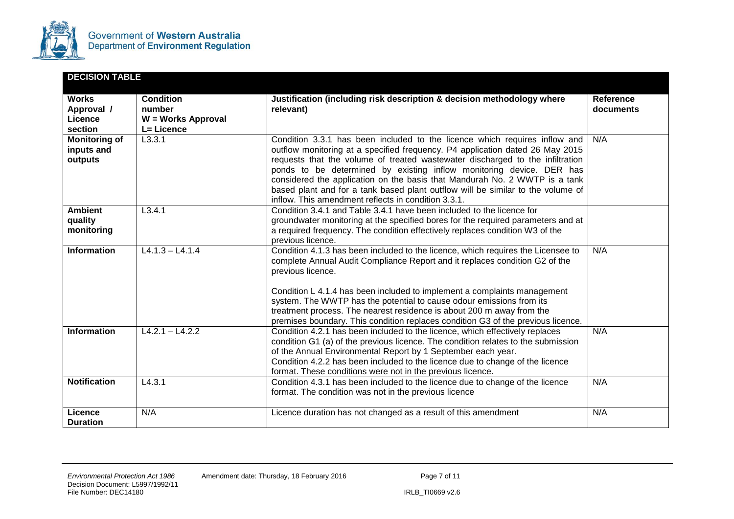

| <b>DECISION TABLE</b>                         |                                  |                                                                                                                                                                                                                                                                                                                                                                                                                                                                                                                                              |                               |
|-----------------------------------------------|----------------------------------|----------------------------------------------------------------------------------------------------------------------------------------------------------------------------------------------------------------------------------------------------------------------------------------------------------------------------------------------------------------------------------------------------------------------------------------------------------------------------------------------------------------------------------------------|-------------------------------|
| <b>Works</b><br>Approval /                    | <b>Condition</b><br>number       | Justification (including risk description & decision methodology where<br>relevant)                                                                                                                                                                                                                                                                                                                                                                                                                                                          | <b>Reference</b><br>documents |
| Licence<br>section                            | W = Works Approval<br>L= Licence |                                                                                                                                                                                                                                                                                                                                                                                                                                                                                                                                              |                               |
| <b>Monitoring of</b><br>inputs and<br>outputs | L3.3.1                           | Condition 3.3.1 has been included to the licence which requires inflow and<br>outflow monitoring at a specified frequency. P4 application dated 26 May 2015<br>requests that the volume of treated wastewater discharged to the infiltration<br>ponds to be determined by existing inflow monitoring device. DER has<br>considered the application on the basis that Mandurah No. 2 WWTP is a tank<br>based plant and for a tank based plant outflow will be similar to the volume of<br>inflow. This amendment reflects in condition 3.3.1. | N/A                           |
| <b>Ambient</b><br>quality<br>monitoring       | L3.4.1                           | Condition 3.4.1 and Table 3.4.1 have been included to the licence for<br>groundwater monitoring at the specified bores for the required parameters and at<br>a required frequency. The condition effectively replaces condition W3 of the<br>previous licence.                                                                                                                                                                                                                                                                               |                               |
| <b>Information</b>                            | $L4.1.3 - L4.1.4$                | Condition 4.1.3 has been included to the licence, which requires the Licensee to<br>complete Annual Audit Compliance Report and it replaces condition G2 of the<br>previous licence.<br>Condition L 4.1.4 has been included to implement a complaints management<br>system. The WWTP has the potential to cause odour emissions from its<br>treatment process. The nearest residence is about 200 m away from the<br>premises boundary. This condition replaces condition G3 of the previous licence.                                        | N/A                           |
| <b>Information</b>                            | $L4.2.1 - L4.2.2$                | Condition 4.2.1 has been included to the licence, which effectively replaces<br>condition G1 (a) of the previous licence. The condition relates to the submission<br>of the Annual Environmental Report by 1 September each year.<br>Condition 4.2.2 has been included to the licence due to change of the licence<br>format. These conditions were not in the previous licence.                                                                                                                                                             | N/A                           |
| <b>Notification</b>                           | L4.3.1                           | Condition 4.3.1 has been included to the licence due to change of the licence<br>format. The condition was not in the previous licence                                                                                                                                                                                                                                                                                                                                                                                                       | N/A                           |
| Licence<br><b>Duration</b>                    | N/A                              | Licence duration has not changed as a result of this amendment                                                                                                                                                                                                                                                                                                                                                                                                                                                                               | N/A                           |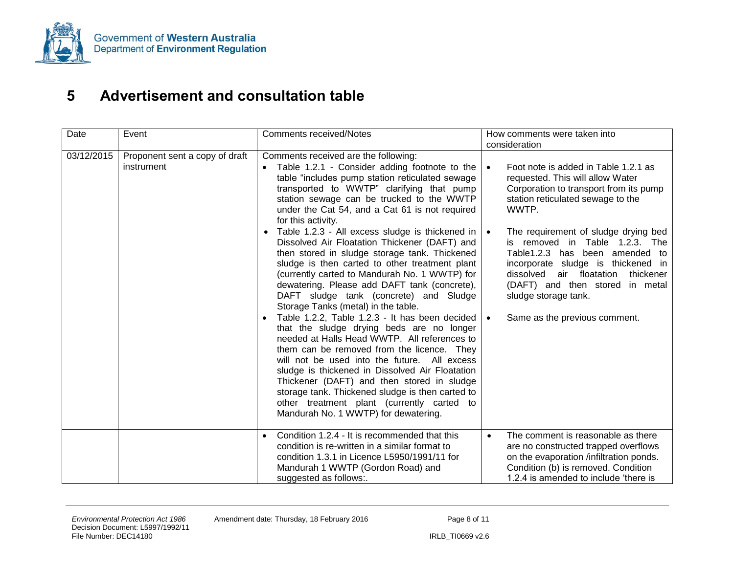

## **5 Advertisement and consultation table**

<span id="page-23-0"></span>

| Date       | Event                                        | <b>Comments received/Notes</b>                                                                                                                                                                                                                                                                                                                                                                                                                                                                                                                                                                                                                                                                                                                                                                                                                                                                                                                                                                                                                                                                                                                                                                    | How comments were taken into<br>consideration                                                                                                                                                                                                                                                                                                                                                                                                                                                     |  |
|------------|----------------------------------------------|---------------------------------------------------------------------------------------------------------------------------------------------------------------------------------------------------------------------------------------------------------------------------------------------------------------------------------------------------------------------------------------------------------------------------------------------------------------------------------------------------------------------------------------------------------------------------------------------------------------------------------------------------------------------------------------------------------------------------------------------------------------------------------------------------------------------------------------------------------------------------------------------------------------------------------------------------------------------------------------------------------------------------------------------------------------------------------------------------------------------------------------------------------------------------------------------------|---------------------------------------------------------------------------------------------------------------------------------------------------------------------------------------------------------------------------------------------------------------------------------------------------------------------------------------------------------------------------------------------------------------------------------------------------------------------------------------------------|--|
| 03/12/2015 | Proponent sent a copy of draft<br>instrument | Comments received are the following:<br>Table 1.2.1 - Consider adding footnote to the<br>table "includes pump station reticulated sewage<br>transported to WWTP" clarifying that pump<br>station sewage can be trucked to the WWTP<br>under the Cat 54, and a Cat 61 is not required<br>for this activity.<br>• Table 1.2.3 - All excess sludge is thickened in $ $<br>Dissolved Air Floatation Thickener (DAFT) and<br>then stored in sludge storage tank. Thickened<br>sludge is then carted to other treatment plant<br>(currently carted to Mandurah No. 1 WWTP) for<br>dewatering. Please add DAFT tank (concrete),<br>DAFT sludge tank (concrete) and Sludge<br>Storage Tanks (metal) in the table.<br>Table 1.2.2, Table 1.2.3 - It has been decided<br>that the sludge drying beds are no longer<br>needed at Halls Head WWTP. All references to<br>them can be removed from the licence. They<br>will not be used into the future. All excess<br>sludge is thickened in Dissolved Air Floatation<br>Thickener (DAFT) and then stored in sludge<br>storage tank. Thickened sludge is then carted to<br>other treatment plant (currently carted to<br>Mandurah No. 1 WWTP) for dewatering. | Foot note is added in Table 1.2.1 as<br>$\bullet$<br>requested. This will allow Water<br>Corporation to transport from its pump<br>station reticulated sewage to the<br>WWTP.<br>The requirement of sludge drying bed<br>$\bullet$<br>is removed in Table 1.2.3. The<br>Table1.2.3 has been amended to<br>incorporate sludge is thickened in<br>air floatation<br>dissolved<br>thickener<br>(DAFT) and then stored in metal<br>sludge storage tank.<br>Same as the previous comment.<br>$\bullet$ |  |
|            |                                              | Condition 1.2.4 - It is recommended that this<br>$\bullet$<br>condition is re-written in a similar format to<br>condition 1.3.1 in Licence L5950/1991/11 for<br>Mandurah 1 WWTP (Gordon Road) and<br>suggested as follows:.                                                                                                                                                                                                                                                                                                                                                                                                                                                                                                                                                                                                                                                                                                                                                                                                                                                                                                                                                                       | The comment is reasonable as there<br>$\bullet$<br>are no constructed trapped overflows<br>on the evaporation /infiltration ponds.<br>Condition (b) is removed. Condition<br>1.2.4 is amended to include 'there is                                                                                                                                                                                                                                                                                |  |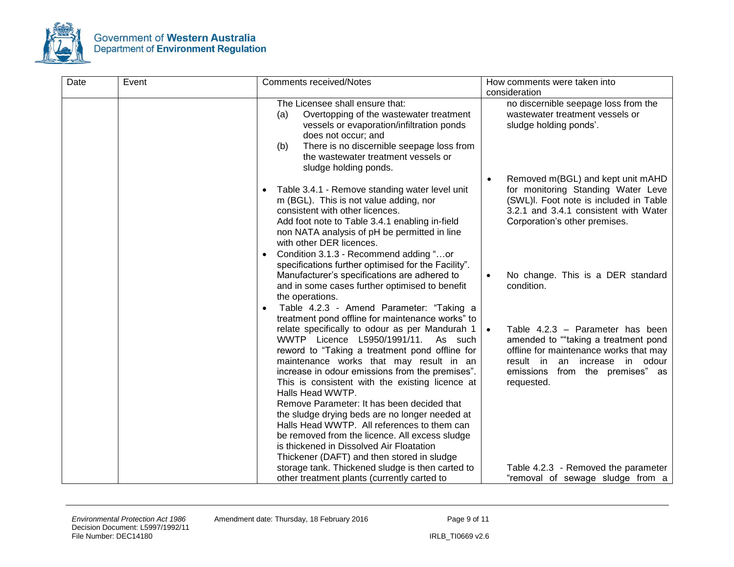

| Date | Event | <b>Comments received/Notes</b>                                                                                                                                                                                                                                                                                                                                                                                                                                                                                                                                                                             | How comments were taken into                                                                                                                                                                                       |
|------|-------|------------------------------------------------------------------------------------------------------------------------------------------------------------------------------------------------------------------------------------------------------------------------------------------------------------------------------------------------------------------------------------------------------------------------------------------------------------------------------------------------------------------------------------------------------------------------------------------------------------|--------------------------------------------------------------------------------------------------------------------------------------------------------------------------------------------------------------------|
|      |       |                                                                                                                                                                                                                                                                                                                                                                                                                                                                                                                                                                                                            | consideration                                                                                                                                                                                                      |
|      |       | The Licensee shall ensure that:<br>Overtopping of the wastewater treatment<br>(a)<br>vessels or evaporation/infiltration ponds<br>does not occur; and<br>There is no discernible seepage loss from<br>(b)<br>the wastewater treatment vessels or<br>sludge holding ponds.                                                                                                                                                                                                                                                                                                                                  | no discernible seepage loss from the<br>wastewater treatment vessels or<br>sludge holding ponds'.                                                                                                                  |
|      |       | Table 3.4.1 - Remove standing water level unit<br>m (BGL). This is not value adding, nor<br>consistent with other licences.<br>Add foot note to Table 3.4.1 enabling in-field<br>non NATA analysis of pH be permitted in line<br>with other DER licences.<br>Condition 3.1.3 - Recommend adding "or<br>$\bullet$<br>specifications further optimised for the Facility".                                                                                                                                                                                                                                    | Removed m(BGL) and kept unit mAHD<br>$\bullet$<br>for monitoring Standing Water Leve<br>(SWL)I. Foot note is included in Table<br>3.2.1 and 3.4.1 consistent with Water<br>Corporation's other premises.           |
|      |       | Manufacturer's specifications are adhered to<br>and in some cases further optimised to benefit<br>the operations.<br>Table 4.2.3 - Amend Parameter: "Taking a<br>treatment pond offline for maintenance works" to                                                                                                                                                                                                                                                                                                                                                                                          | No change. This is a DER standard<br>$\bullet$<br>condition.                                                                                                                                                       |
|      |       | relate specifically to odour as per Mandurah 1<br>WWTP Licence L5950/1991/11.<br>As such<br>reword to "Taking a treatment pond offline for<br>maintenance works that may result in an<br>increase in odour emissions from the premises".<br>This is consistent with the existing licence at<br>Halls Head WWTP.<br>Remove Parameter: It has been decided that<br>the sludge drying beds are no longer needed at<br>Halls Head WWTP. All references to them can<br>be removed from the licence. All excess sludge<br>is thickened in Dissolved Air Floatation<br>Thickener (DAFT) and then stored in sludge | Table 4.2.3 - Parameter has been<br>$\bullet$<br>amended to ""taking a treatment pond<br>offline for maintenance works that may<br>result in an increase in odour<br>emissions from the premises" as<br>requested. |
|      |       | storage tank. Thickened sludge is then carted to<br>other treatment plants (currently carted to                                                                                                                                                                                                                                                                                                                                                                                                                                                                                                            | Table 4.2.3 - Removed the parameter<br>"removal of sewage sludge from a                                                                                                                                            |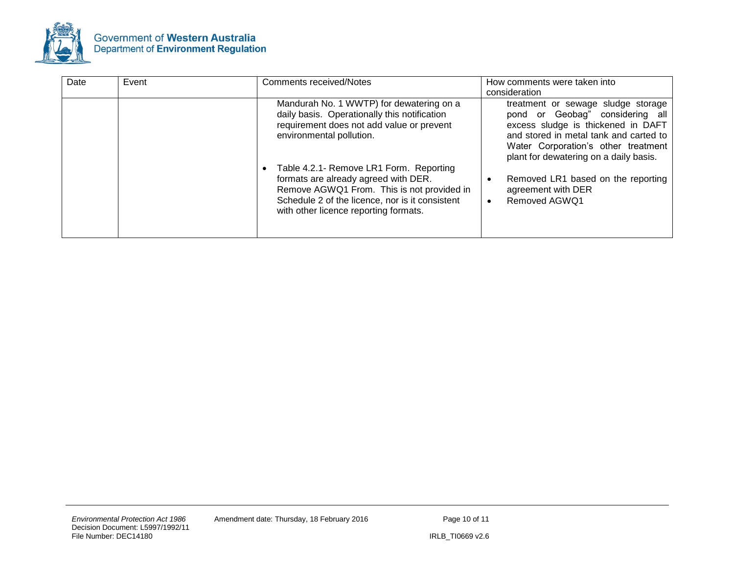

| Date | Event | <b>Comments received/Notes</b>                                                                                                                                                                                            | How comments were taken into<br>consideration                                                                                                                                                                                          |
|------|-------|---------------------------------------------------------------------------------------------------------------------------------------------------------------------------------------------------------------------------|----------------------------------------------------------------------------------------------------------------------------------------------------------------------------------------------------------------------------------------|
|      |       | Mandurah No. 1 WWTP) for dewatering on a<br>daily basis. Operationally this notification<br>requirement does not add value or prevent<br>environmental pollution.                                                         | treatment or sewage sludge storage<br>pond or Geobag" considering all<br>excess sludge is thickened in DAFT<br>and stored in metal tank and carted to<br>Water Corporation's other treatment<br>plant for dewatering on a daily basis. |
|      |       | Table 4.2.1- Remove LR1 Form. Reporting<br>formats are already agreed with DER.<br>Remove AGWQ1 From. This is not provided in<br>Schedule 2 of the licence, nor is it consistent<br>with other licence reporting formats. | Removed LR1 based on the reporting<br>agreement with DER<br>Removed AGWQ1<br>$\bullet$                                                                                                                                                 |